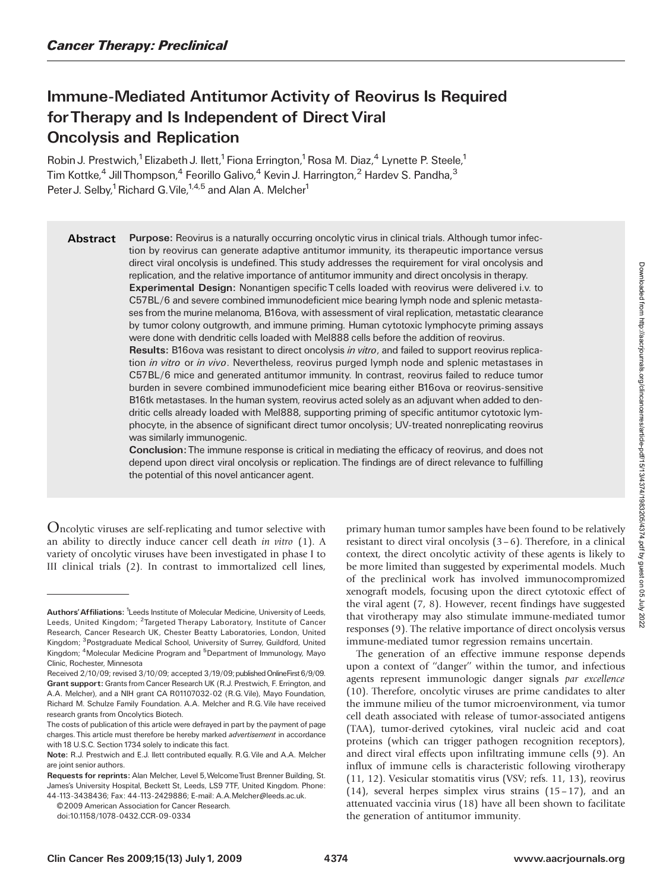# Immune-Mediated Antitumor Activity of Reovirus Is Required forTherapy and Is Independent of Direct Viral Oncolysis and Replication

Robin J. Prestwich,<sup>1</sup> Elizabeth J. Ilett,<sup>1</sup> Fiona Errington,<sup>1</sup> Rosa M. Diaz,<sup>4</sup> Lynette P. Steele,<sup>1</sup> Tim Kottke,<sup>4</sup> Jill Thompson,<sup>4</sup> Feorillo Galivo,<sup>4</sup> Kevin J. Harrington,<sup>2</sup> Hardev S. Pandha,<sup>3</sup> Peter J. Selby,<sup>1</sup> Richard G. Vile,<sup>1,4,5</sup> and Alan A. Melcher<sup>1</sup>

Abstract Purpose: Reovirus is a naturally occurring oncolytic virus in clinical trials. Although tumor infection by reovirus can generate adaptive antitumor immunity, its therapeutic importance versus direct viral oncolysis is undefined. This study addresses the requirement for viral oncolysis and replication, and the relative importance of antitumor immunity and direct oncolysis in therapy. Experimental Design: Nonantigen specific T cells loaded with reovirus were delivered i.v. to C57BL/6 and severe combined immunodeficient mice bearing lymph node and splenic metastases from the murine melanoma, B16ova, with assessment of viral replication, metastatic clearance by tumor colony outgrowth, and immune priming. Human cytotoxic lymphocyte priming assays were done with dendritic cells loaded with Mel888 cells before the addition of reovirus.

> Results: B16ova was resistant to direct oncolysis *in vitro*, and failed to support reovirus replication *in vitro or in vivo*. Nevertheless, reovirus purged lymph node and splenic metastases in C57BL/6 mice and generated antitumor immunity. In contrast, reovirus failed to reduce tumor burden in severe combined immunodeficient mice bearing either B16ova or reovirus-sensitive B16tk metastases. In the human system, reovirus acted solely as an adjuvant when added to dendritic cells already loaded with Mel888, supporting priming of specific antitumor cytotoxic lymphocyte, in the absence of significant direct tumor oncolysis; UV-treated nonreplicating reovirus was similarly immunogenic.

> Conclusion:The immune response is critical in mediating the efficacy of reovirus, and does not depend upon direct viral oncolysis or replication. The findings are of direct relevance to fulfilling the potential of this novel anticancer agent.

Oncolytic viruses are self-replicating and tumor selective with an ability to directly induce cancer cell death in vitro (1). A variety of oncolytic viruses have been investigated in phase I to III clinical trials (2). In contrast to immortalized cell lines,

© 2009 American Association for Cancer Research.

primary human tumor samples have been found to be relatively resistant to direct viral oncolysis  $(3-6)$ . Therefore, in a clinical context, the direct oncolytic activity of these agents is likely to be more limited than suggested by experimental models. Much of the preclinical work has involved immunocompromized xenograft models, focusing upon the direct cytotoxic effect of the viral agent (7, 8). However, recent findings have suggested that virotherapy may also stimulate immune-mediated tumor responses (9). The relative importance of direct oncolysis versus immune-mediated tumor regression remains uncertain.

The generation of an effective immune response depends upon a context of "danger" within the tumor, and infectious agents represent immunologic danger signals par excellence (10). Therefore, oncolytic viruses are prime candidates to alter the immune milieu of the tumor microenvironment, via tumor cell death associated with release of tumor-associated antigens (TAA), tumor-derived cytokines, viral nucleic acid and coat proteins (which can trigger pathogen recognition receptors), and direct viral effects upon infiltrating immune cells (9). An influx of immune cells is characteristic following virotherapy  $(11, 12)$ . Vesicular stomatitis virus (VSV; refs. 11, 13), reovirus (14), several herpes simplex virus strains  $(15-17)$ , and an attenuated vaccinia virus (18) have all been shown to facilitate the generation of antitumor immunity.

Authors' Affiliations: <sup>1</sup>Leeds Institute of Molecular Medicine, University of Leeds, Leeds, United Kingdom; <sup>2</sup>Targeted Therapy Laboratory, Institute of Cancer Research, Cancer Research UK, Chester Beatty Laboratories, London, United Kingdom; <sup>3</sup>Postgraduate Medical School, University of Surrey, Guildford, United Kingdom; <sup>4</sup>Molecular Medicine Program and <sup>5</sup>Department of Immunology, Mayo Clinic, Rochester, Minnesota

Received 2/10/09; revised 3/10/09; accepted 3/19/09; published OnlineFirst 6/9/09. Grant support: Grants from Cancer Research UK (R.J. Prestwich, F. Errington, and A.A. Melcher), and a NIH grant CA R01107032-02 (R.G. Vile), Mayo Foundation, Richard M. Schulze Family Foundation. A.A. Melcher and R.G. Vile have received research grants from Oncolytics Biotech.

The costs of publication of this article were defrayed in part by the payment of page charges. This article must therefore be hereby marked *advertisement* in accordance with 18 U.S.C. Section 1734 solely to indicate this fact.

Note: R.J. Prestwich and E.J. Ilett contributed equally. R.G.Vile and A.A. Melcher are joint senior authors.

Requests for reprints: Alan Melcher, Level 5, Welcome Trust Brenner Building, St. James's University Hospital, Beckett St, Leeds, LS9 7TF, United Kingdom. Phone: 44-113-3438436; Fax: 44-113-2429886; E-mail: A.A.Melcher@leeds.ac.uk.

doi:10.1158/1078-0432.CCR-09-0334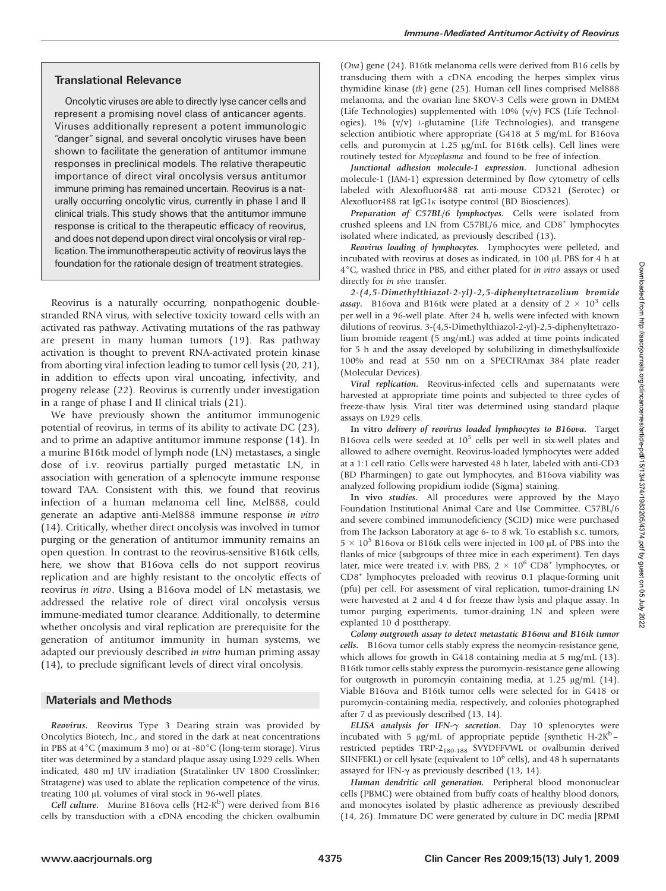# Translational Relevance

Oncolytic viruses are able to directly lyse cancer cells and represent a promising novel class of anticancer agents. Viruses additionally represent a potent immunologic "danger" signal, and several oncolytic viruses have been shown to facilitate the generation of antitumor immune responses in preclinical models. The relative therapeutic importance of direct viral oncolysis versus antitumor immune priming has remained uncertain. Reovirus is a naturally occurring oncolytic virus, currently in phase I and II clinical trials. This study shows that the antitumor immune response is critical to the therapeutic efficacy of reovirus, and does not depend upon direct viral oncolysis or viral replication.The immunotherapeutic activity of reovirus lays the foundation for the rationale design of treatment strategies.

Reovirus is a naturally occurring, nonpathogenic doublestranded RNA virus, with selective toxicity toward cells with an activated ras pathway. Activating mutations of the ras pathway are present in many human tumors (19). Ras pathway activation is thought to prevent RNA-activated protein kinase from aborting viral infection leading to tumor cell lysis (20,21), in addition to effects upon viral uncoating, infectivity, and progeny release (22). Reovirus is currently under investigation in a range of phase I and II clinical trials (21).

We have previously shown the antitumor immunogenic potential of reovirus, in terms of its ability to activate DC (23), and to prime an adaptive antitumor immune response (14). In a murine B16tk model of lymph node (LN) metastases, a single dose of i.v. reovirus partially purged metastatic LN, in association with generation of a splenocyte immune response toward TAA. Consistent with this, we found that reovirus infection of a human melanoma cell line, Mel888, could generate an adaptive anti-Mel888 immune response in vitro (14). Critically, whether direct oncolysis was involved in tumor purging or the generation of antitumor immunity remains an open question. In contrast to the reovirus-sensitive B16tk cells, here, we show that B16ova cells do not support reovirus replication and are highly resistant to the oncolytic effects of reovirus in vitro. Using a B16ova model of LN metastasis, we addressed the relative role of direct viral oncolysis versus immune-mediated tumor clearance. Additionally, to determine whether oncolysis and viral replication are prerequisite for the generation of antitumor immunity in human systems, we adapted our previously described in vitro human priming assay  $(14)$ , to preclude significant levels of direct viral oncolysis.

# Materials and Methods

Reovirus. Reovirus Type 3 Dearing strain was provided by Oncolytics Biotech, Inc., and stored in the dark at neat concentrations in PBS at  $4^{\circ}$ C (maximum 3 mo) or at -80 $^{\circ}$ C (long-term storage). Virus titer was determined by a standard plaque assay using L929 cells. When indicated,480 mJ UV irradiation (Stratalinker UV 1800 Crosslinker; Stratagene) was used to ablate the replication competence of the virus, treating 100 µL volumes of viral stock in 96-well plates.

Cell culture. Murine B16ova cells  $(H2-K^b)$  were derived from B16 cells by transduction with a cDNA encoding the chicken ovalbumin (Ova) gene (24). B16tk melanoma cells were derived from B16 cells by transducing them with a cDNA encoding the herpes simplex virus thymidine kinase (tk) gene (25). Human cell lines comprised Mel888 melanoma, and the ovarian line SKOV-3 Cells were grown in DMEM (Life Technologies) supplemented with 10% (v/v) FCS (Life Technologies),  $1\%$  (v/v) L-glutamine (Life Technologies), and transgene selection antibiotic where appropriate (G418 at 5 mg/mL for B16ova cells, and puromycin at 1.25 µg/mL for B16tk cells). Cell lines were routinely tested for Mycoplasma and found to be free of infection.

Junctional adhesion molecule-1 expression. Junctional adhesion molecule-1 (JAM-1) expression determined by flow cytometry of cells labeled with Alexofluor488 rat anti-mouse CD321 (Serotec) or Alexofluor488 rat IgG1<sub>K</sub> isotype control (BD Biosciences).

Preparation of C57BL/6 lymphoctyes. Cells were isolated from crushed spleens and LN from C57BL/6 mice, and CD8<sup>+</sup> lymphocytes isolated where indicated, as previously described (13).

Reovirus loading of lymphocytes. Lymphocytes were pelleted, and incubated with reovirus at doses as indicated, in 100  $\mu$ L PBS for 4 h at  $4^{\circ}$ C, washed thrice in PBS, and either plated for in vitro assays or used directly for in vivo transfer.

2-(4,5-Dimethylthiazol-2-yl)-2,5-diphenyltetrazolium bromide assay. B16ova and B16tk were plated at a density of  $2 \times 10^3$  cells per well in a 96-well plate. After 24 h, wells were infected with known dilutions of reovirus. 3-(4,5-Dimethylthiazol-2-yl)-2,5-diphenyltetrazolium bromide reagent (5 mg/mL) was added at time points indicated for 5 h and the assay developed by solubilizing in dimethylsulfoxide 100% and read at 550 nm on a SPECTRAmax 384 plate reader (Molecular Devices).

Viral replication. Reovirus-infected cells and supernatants were harvested at appropriate time points and subjected to three cycles of freeze-thaw lysis. Viral titer was determined using standard plaque assays on L929 cells.

In vitro delivery of reovirus loaded lymphocytes to B16ova. Target B16ova cells were seeded at  $10^5$  cells per well in six-well plates and allowed to adhere overnight. Reovirus-loaded lymphocytes were added at a 1:1 cell ratio. Cells were harvested 48 h later, labeled with anti-CD3 (BD Pharmingen) to gate out lymphocytes, and B16ova viability was analyzed following propidium iodide (Sigma) staining.

In vivo studies. All procedures were approved by the Mayo Foundation Institutional Animal Care and Use Committee. C57BL/6 and severe combined immunodeficiency (SCID) mice were purchased from The Jackson Laboratory at age 6- to 8 wk. To establish s.c. tumors,  $5 \times 10^5$  B16ova or B16tk cells were injected in 100 µL of PBS into the flanks of mice (subgroups of three mice in each experiment). Ten days later, mice were treated i.v. with PBS,  $2 \times 10^6$  CD8<sup>+</sup> lymphocytes, or CD8<sup>+</sup> lymphocytes preloaded with reovirus 0.1 plaque-forming unit (pfu) per cell. For assessment of viral replication, tumor-draining LN were harvested at 2 and 4 d for freeze thaw lysis and plaque assay. In tumor purging experiments, tumor-draining LN and spleen were explanted 10 d posttherapy.

Colony outgrowth assay to detect metastatic B16ova and B16tk tumor cells. B16ova tumor cells stably express the neomycin-resistance gene, which allows for growth in G418 containing media at 5 mg/mL (13). B16tk tumor cells stably express the puromycin-resistance gene allowing for outgrowth in puromcyin containing media, at  $1.25 \mu g/mL$  (14). Viable B16ova and B16tk tumor cells were selected for in G418 or puromycin-containing media, respectively, and colonies photographed after 7 d as previously described (13,14).

ELISA analysis for IFN- $\gamma$  secretion. Day 10 splenocytes were incubated with 5  $\mu$ g/mL of appropriate peptide (synthetic H-2K<sup>b</sup> – restricted peptides TRP-2180-188 SVYDFFVWL or ovalbumin derived SIINFEKL) or cell lysate (equivalent to  $10^6$  cells), and 48 h supernatants assayed for IFN- $\gamma$  as previously described (13, 14).

Human dendritic cell generation. Peripheral blood mononuclear cells (PBMC) were obtained from buffy coats of healthy blood donors, and monocytes isolated by plastic adherence as previously described (14,26). Immature DC were generated by culture in DC media [RPMI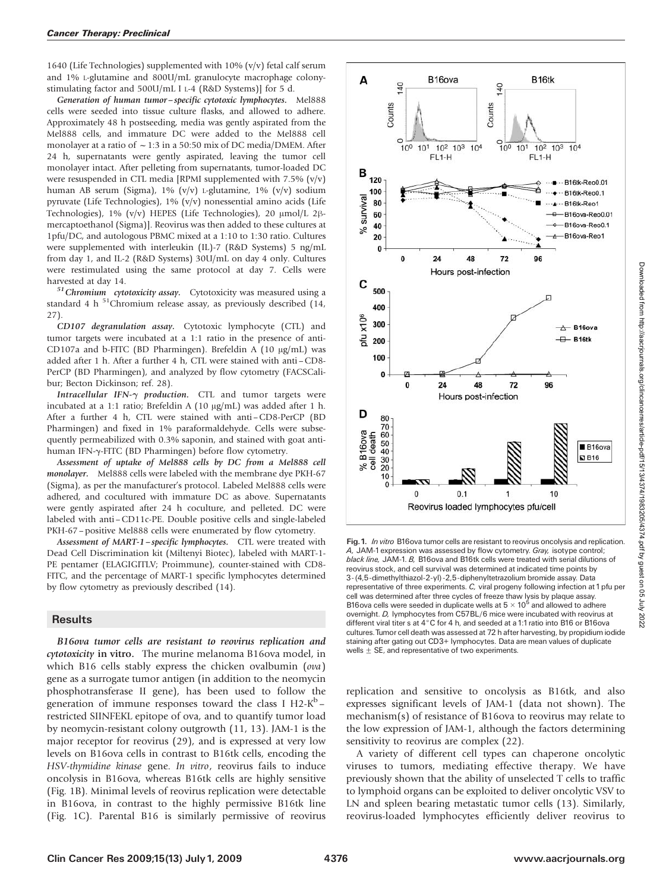1640 (Life Technologies) supplemented with 10% (v/v) fetal calf serum and 1% L-glutamine and 800U/mL granulocyte macrophage colonystimulating factor and 500U/mL I L-4 (R&D Systems)] for 5 d.

Generation of human tumor – specific cytotoxic lymphocytes. Mel888 cells were seeded into tissue culture flasks, and allowed to adhere. Approximately 48 h postseeding, media was gently aspirated from the Mel888 cells, and immature DC were added to the Mel888 cell monolayer at a ratio of  $\sim$  1:3 in a 50:50 mix of DC media/DMEM. After 24 h, supernatants were gently aspirated, leaving the tumor cell monolayer intact. After pelleting from supernatants, tumor-loaded DC were resuspended in CTL media [RPMI supplemented with 7.5% (v/v) human AB serum (Sigma),1% (v/v) L-glutamine,1% (v/v) sodium pyruvate (Life Technologies),1% (v/v) nonessential amino acids (Life Technologies), 1% (v/v) HEPES (Life Technologies), 20  $\mu$ mol/L 2 $\beta$ mercaptoethanol (Sigma)]. Reovirus was then added to these cultures at 1pfu/DC,and autologous PBMC mixed at a 1:10 to 1:30 ratio. Cultures were supplemented with interleukin (IL)-7 (R&D Systems) 5 ng/mL from day 1, and IL-2 (R&D Systems) 30U/mL on day 4 only. Cultures were restimulated using the same protocol at day 7. Cells were

harvested at day 14.<br>
<sup>51</sup>Chromium cytotoxicity assay. Cytotoxicity was measured using a standard 4 h  $51$ Chromium release assay, as previously described (14, 27).

CD107 degranulation assay. Cytotoxic lymphocyte (CTL) and tumor targets were incubated at a 1:1 ratio in the presence of anti-CD107a and b-FITC (BD Pharmingen). Brefeldin A (10  $\mu$ g/mL) was added after 1 h. After a further 4 h, CTL were stained with anti-CD8-PerCP (BD Pharmingen), and analyzed by flow cytometry (FACSCalibur; Becton Dickinson; ref. 28).

Intracellular IFN- $\gamma$  production. CTL and tumor targets were incubated at a 1:1 ratio; Brefeldin A (10  $\mu$ g/mL) was added after 1 h. After a further 4 h, CTL were stained with anti-CD8-PerCP (BD Pharmingen) and fixed in 1% paraformaldehyde. Cells were subsequently permeabilized with 0.3% saponin, and stained with goat antihuman IFN-y-FITC (BD Pharmingen) before flow cytometry.

Assessment of uptake of Mel888 cells by DC from a Mel888 cell monolayer. Mel888 cells were labeled with the membrane dye PKH-67 (Sigma), as per the manufacturer's protocol. Labeled Mel888 cells were adhered, and cocultured with immature DC as above. Supernatants were gently aspirated after 24 h coculture, and pelleted. DC were labeled with anti –CD11c-PE. Double positive cells and single-labeled PKH-67 – positive Mel888 cells were enumerated by flow cytometry.

Assessment of MART-1-specific lymphocytes. CTL were treated with Dead Cell Discrimination kit (Miltenyi Biotec), labeled with MART-1-PE pentamer (ELAGIGITLV; Proimmune), counter-stained with CD8-FITC, and the percentage of MART-1 specific lymphocytes determined by flow cytometry as previously described (14).

#### **Results**

B16ova tumor cells are resistant to reovirus replication and cytotoxicity in vitro. The murine melanoma B16ova model, in which B16 cells stably express the chicken ovalbumin (ova) gene as a surrogate tumor antigen (in addition to the neomycin phosphotransferase II gene), has been used to follow the generation of immune responses toward the class I H2- $K^b$  – restricted SIINFEKL epitope of ova, and to quantify tumor load by neomycin-resistant colony outgrowth (11,13). JAM-1 is the major receptor for reovirus (29), and is expressed at very low levels on B16ova cells in contrast to B16tk cells, encoding the HSV-thymidine kinase gene. In vitro, reovirus fails to induce oncolysis in B16ova, whereas B16tk cells are highly sensitive (Fig. 1B). Minimal levels of reovirus replication were detectable in B16ova, in contrast to the highly permissive B16tk line (Fig. 1C). Parental B16 is similarly permissive of reovirus



Fig. 1. In vitro B16ova tumor cells are resistant to reovirus oncolysis and replication. A, JAM-1expression was assessed by flow cytometry. Gray, isotype control; black line, JAM-1, B. B16ova and B16tk cells were treated with serial dilutions of reovirus stock, and cell survival was determined at indicated time points by 3-(4,5-dimethylthiazol-2-yl)-2,5-diphenyltetrazolium bromide assay. Data representative of three experiments. C, viral progeny following infection at 1pfu per cell was determined after three cycles of freeze thaw lysis by plaque assay. B16ova cells were seeded in duplicate wells at  $5 \times 10^5$  and allowed to adhere overnight. D, lymphocytes from C57BL/6 mice were incubated with reovirus at different viral titer s at  $4^{\circ}$ C for 4 h, and seeded at a 1:1 ratio into B16 or B16ova cultures.Tumor cell death was assessed at 72 h after harvesting, by propidium iodide staining after gating out CD3+ lymphocytes. Data are mean values of duplicate wells  $\pm$  SE, and representative of two experiments.

replication and sensitive to oncolysis as B16tk, and also expresses significant levels of JAM-1 (data not shown). The mechanism(s) of resistance of B16ova to reovirus may relate to the low expression of JAM-1, although the factors determining sensitivity to reovirus are complex  $(22)$ .

A variety of different cell types can chaperone oncolytic viruses to tumors, mediating effective therapy. We have previously shown that the ability of unselected T cells to traffic to lymphoid organs can be exploited to deliver oncolytic VSV to LN and spleen bearing metastatic tumor cells (13). Similarly, reovirus-loaded lymphocytes efficiently deliver reovirus to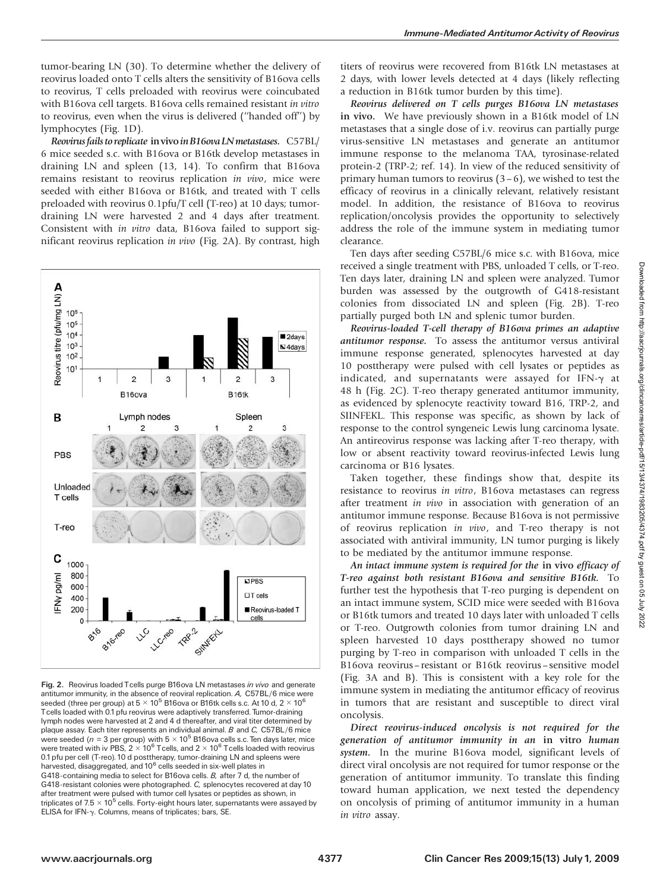reovirus loaded onto T cells alters the sensitivity of B16ova cells to reovirus, T cells preloaded with reovirus were coincubated with B16ova cell targets. B16ova cells remained resistant in vitro to reovirus, even when the virus is delivered ("handed off") by lymphocytes (Fig. 1D).

Reovirus fails to replicate in vivo in B16ova LN metastases. C57BL/ 6 mice seeded s.c. with B16ova or B16tk develop metastases in draining LN and spleen (13,14). To confirm that B16ova remains resistant to reovirus replication in vivo, mice were seeded with either B16ova or B16tk, and treated with T cells preloaded with reovirus 0.1pfu/T cell (T-reo) at 10 days; tumordraining LN were harvested 2 and 4 days after treatment. Consistent with in vitro data, B16ova failed to support significant reovirus replication in vivo (Fig. 2A). By contrast, high



Fig. 2. Reovirus loaded Tcells purge B16ova LN metastases in vivo and generate antitumor immunity, in the absence of reoviral replication. A, C57BL/6 mice were seeded (three per group) at  $5 \times 10^5$  B16ova or B16tk cells s.c. At 10 d, 2  $\times$  10<sup>6</sup> Tcells loaded with 0.1pfu reovirus were adaptively transferred. Tumor-draining lymph nodes were harvested at 2 and 4 d thereafter, and viral titer determined by plaque assay. Each titer represents an individual animal. B and C, C57BL/6 mice were seeded ( $n = 3$  per group) with  $5 \times 10^5$  B16ova cells s.c. Ten days later, mice were treated with iv PBS, 2  $\times$  10<sup>6</sup> Tcells, and 2  $\times$  10<sup>6</sup> Tcells loaded with reovirus 0.1 pfu per cell (T-reo). 10 d posttherapy, tumor-draining LN and spleens were harvested, disaggregated, and 10<sup>6</sup> cells seeded in six-well plates in G418-containing media to select for B16ova cells. B, after 7 d, the number of G418-resistant colonies were photographed. C, splenocytes recovered at day 10 after treatment were pulsed with tumor cell lysates or peptides as shown, in triplicates of  $7.5 \times 10^5$  cells. Forty-eight hours later, supernatants were assayed by ELISA for IFN-g. Columns, means of triplicates; bars, SE.

titers of reovirus were recovered from B16tk LN metastases at 2 days, with lower levels detected at 4 days (likely reflecting a reduction in B16tk tumor burden by this time).

Reovirus delivered on T cells purges B16ova LN metastases in vivo. We have previously shown in a B16tk model of LN metastases that a single dose of i.v. reovirus can partially purge virus-sensitive LN metastases and generate an antitumor immune response to the melanoma TAA, tyrosinase-related protein-2 (TRP-2; ref. 14). In view of the reduced sensitivity of primary human tumors to reovirus  $(3-6)$ , we wished to test the efficacy of reovirus in a clinically relevant, relatively resistant model. In addition, the resistance of B16ova to reovirus replication/oncolysis provides the opportunity to selectively address the role of the immune system in mediating tumor clearance.

Ten days after seeding C57BL/6 mice s.c. with B16ova, mice received a single treatment with PBS, unloaded T cells, or T-reo. Ten days later, draining LN and spleen were analyzed. Tumor burden was assessed by the outgrowth of G418-resistant colonies from dissociated LN and spleen (Fig. 2B). T-reo partially purged both LN and splenic tumor burden.

Reovirus-loaded T-cell therapy of B16ova primes an adaptive antitumor response. To assess the antitumor versus antiviral immune response generated, splenocytes harvested at day 10 posttherapy were pulsed with cell lysates or peptides as indicated, and supernatants were assayed for IFN- $\gamma$  at 48 h (Fig. 2C). T-reo therapy generated antitumor immunity, as evidenced by splenocyte reactivity toward B16, TRP-2, and SIINFEKL. This response was specific, as shown by lack of response to the control syngeneic Lewis lung carcinoma lysate. An antireovirus response was lacking after T-reo therapy, with low or absent reactivity toward reovirus-infected Lewis lung carcinoma or B16 lysates.

Taken together, these findings show that, despite its resistance to reovirus in vitro, B16ova metastases can regress after treatment in vivo in association with generation of an antitumor immune response. Because B16ova is not permissive of reovirus replication in vivo, and T-reo therapy is not associated with antiviral immunity, LN tumor purging is likely to be mediated by the antitumor immune response.

An intact immune system is required for the in vivo efficacy of T-reo against both resistant B16ova and sensitive B16tk. To further test the hypothesis that T-reo purging is dependent on an intact immune system, SCID mice were seeded with B16ova or B16tk tumors and treated 10 days later with unloaded T cells or T-reo. Outgrowth colonies from tumor draining LN and spleen harvested 10 days posttherapy showed no tumor purging by T-reo in comparison with unloaded T cells in the B16ova reovirus – resistant or B16tk reovirus – sensitive model (Fig. 3A and B). This is consistent with a key role for the immune system in mediating the antitumor efficacy of reovirus in tumors that are resistant and susceptible to direct viral oncolysis.

Direct reovirus-induced oncolysis is not required for the generation of antitumor immunity in an in vitro human system. In the murine B16ova model, significant levels of direct viral oncolysis are not required for tumor response or the generation of antitumor immunity. To translate this finding toward human application, we next tested the dependency on oncolysis of priming of antitumor immunity in a human in vitro assay.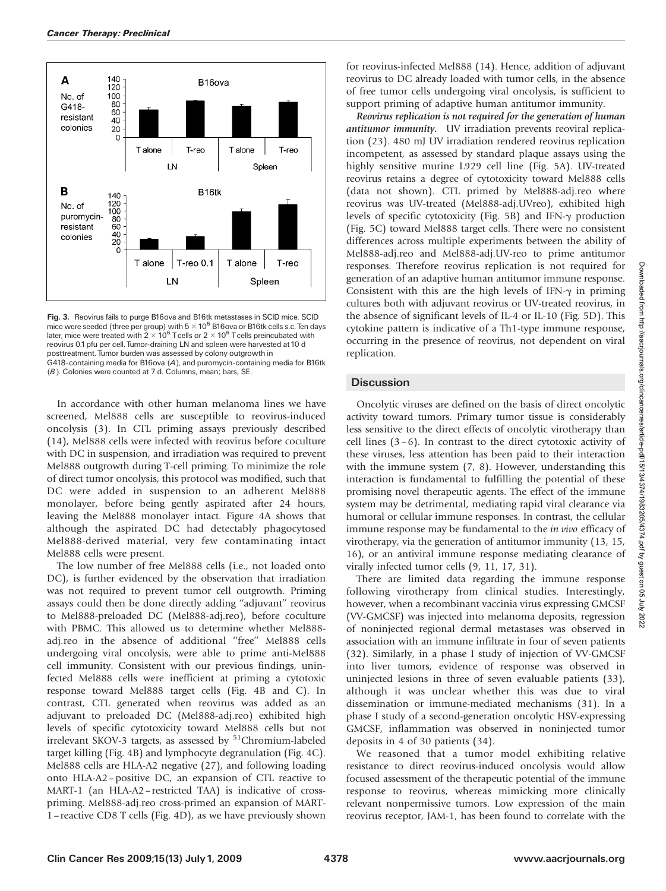

Fig. 3. Reovirus fails to purge B16ova and B16tk metastases in SCID mice. SCID mice were seeded (three per group) with  $5 \times 10^5$  B16ova or B16tk cells s.c. Ten days later, mice were treated with  $2 \times 10^6$  Tcells or  $2 \times 10^6$  Tcells preincubated with reovirus 0.1pfu per cell. Tumor-draining LN and spleen were harvested at 10 d posttreatment. Tumor burden was assessed by colony outgrowth in G418-containing media for B16ova (A), and puromycin-containing media for B16tk (B). Colonies were counted at 7 d. Columns, mean; bars, SE.

In accordance with other human melanoma lines we have screened, Mel888 cells are susceptible to reovirus-induced oncolysis (3). In CTL priming assays previously described  $(14)$ , Mel888 cells were infected with reovirus before coculture with DC in suspension, and irradiation was required to prevent Mel888 outgrowth during T-cell priming. To minimize the role of direct tumor oncolysis, this protocol was modified, such that DC were added in suspension to an adherent Mel888 monolayer, before being gently aspirated after 24 hours, leaving the Mel888 monolayer intact. Figure 4A shows that although the aspirated DC had detectably phagocytosed Mel888-derived material, very few contaminating intact Mel888 cells were present.

The low number of free Mel888 cells (i.e., not loaded onto DC), is further evidenced by the observation that irradiation was not required to prevent tumor cell outgrowth. Priming assays could then be done directly adding ''adjuvant'' reovirus to Mel888-preloaded DC (Mel888-adj.reo), before coculture with PBMC. This allowed us to determine whether Mel888 adj.reo in the absence of additional ''free'' Mel888 cells undergoing viral oncolysis, were able to prime anti-Mel888 cell immunity. Consistent with our previous findings, uninfected Mel888 cells were inefficient at priming a cytotoxic response toward Mel888 target cells (Fig. 4B and C). In contrast, CTL generated when reovirus was added as an adjuvant to preloaded DC (Mel888-adj.reo) exhibited high levels of specific cytotoxicity toward Mel888 cells but not irrelevant SKOV-3 targets, as assessed by  $51$ Chromium-labeled target killing (Fig. 4B) and lymphocyte degranulation (Fig. 4C). Mel888 cells are HLA-A2 negative (27), and following loading onto HLA-A2-positive DC, an expansion of CTL reactive to MART-1 (an HLA-A2– restricted TAA) is indicative of crosspriming. Mel888-adj.reo cross-primed an expansion of MART-1 – reactive CD8 T cells (Fig. 4D), as we have previously shown

for reovirus-infected Mel888 (14). Hence, addition of adjuvant reovirus to DC already loaded with tumor cells, in the absence of free tumor cells undergoing viral oncolysis, is sufficient to support priming of adaptive human antitumor immunity.

Reovirus replication is not required for the generation of human antitumor immunity. UV irradiation prevents reoviral replication (23). 480 mJ UV irradiation rendered reovirus replication incompetent, as assessed by standard plaque assays using the highly sensitive murine L929 cell line (Fig. 5A). UV-treated reovirus retains a degree of cytotoxicity toward Mel888 cells (data not shown). CTL primed by Mel888-adj.reo where reovirus was UV-treated (Mel888-adj.UVreo), exhibited high levels of specific cytotoxicity (Fig. 5B) and IFN- $\gamma$  production (Fig. 5C) toward Mel888 target cells. There were no consistent differences across multiple experiments between the ability of Mel888-adj.reo and Mel888-adj.UV-reo to prime antitumor responses. Therefore reovirus replication is not required for generation of an adaptive human antitumor immune response. Consistent with this are the high levels of IFN- $\gamma$  in priming cultures both with adjuvant reovirus or UV-treated reovirus, in the absence of significant levels of IL-4 or IL-10 (Fig. 5D). This cytokine pattern is indicative of a Th1-type immune response, occurring in the presence of reovirus, not dependent on viral replication.

## **Discussion**

Oncolytic viruses are defined on the basis of direct oncolytic activity toward tumors. Primary tumor tissue is considerably less sensitive to the direct effects of oncolytic virotherapy than cell lines  $(3-6)$ . In contrast to the direct cytotoxic activity of these viruses, less attention has been paid to their interaction with the immune system  $(7, 8)$ . However, understanding this interaction is fundamental to fulfilling the potential of these promising novel therapeutic agents. The effect of the immune system may be detrimental, mediating rapid viral clearance via humoral or cellular immune responses. In contrast, the cellular immune response may be fundamental to the in vivo efficacy of virotherapy, via the generation of antitumor immunity (13, 15, 16), or an antiviral immune response mediating clearance of virally infected tumor cells (9, 11, 17, 31).

There are limited data regarding the immune response following virotherapy from clinical studies. Interestingly, however, when a recombinant vaccinia virus expressing GMCSF (VV-GMCSF) was injected into melanoma deposits, regression of noninjected regional dermal metastases was observed in association with an immune infiltrate in four of seven patients (32). Similarly, in a phase I study of injection of VV-GMCSF into liver tumors, evidence of response was observed in uninjected lesions in three of seven evaluable patients (33), although it was unclear whether this was due to viral dissemination or immune-mediated mechanisms (31). In a phase I study of a second-generation oncolytic HSV-expressing GMCSF, inflammation was observed in noninjected tumor deposits in 4 of 30 patients (34).

We reasoned that a tumor model exhibiting relative resistance to direct reovirus-induced oncolysis would allow focused assessment of the therapeutic potential of the immune response to reovirus, whereas mimicking more clinically relevant nonpermissive tumors. Low expression of the main reovirus receptor, JAM-1, has been found to correlate with the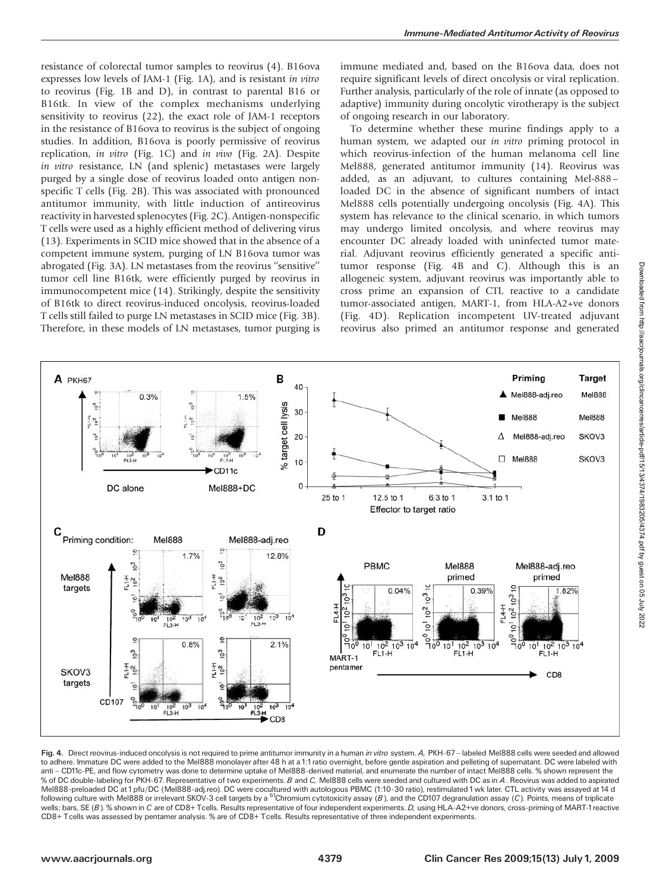resistance of colorectal tumor samples to reovirus (4). B16ova expresses low levels of JAM-1 (Fig. 1A), and is resistant in vitro to reovirus (Fig.  $1B$  and D), in contrast to parental B16 or B16tk. In view of the complex mechanisms underlying sensitivity to reovirus  $(22)$ , the exact role of JAM-1 receptors in the resistance of B16ova to reovirus is the subject of ongoing studies. In addition, B16ova is poorly permissive of reovirus replication, in vitro (Fig. 1C) and in vivo (Fig. 2A). Despite in vitro resistance, LN (and splenic) metastases were largely purged by a single dose of reovirus loaded onto antigen nonspecific T cells (Fig. 2B). This was associated with pronounced antitumor immunity, with little induction of antireovirus reactivity in harvested splenocytes (Fig. 2C). Antigen-nonspecific T cells were used as a highly efficient method of delivering virus (13). Experiments in SCID mice showed that in the absence of a competent immune system, purging of LN B16ova tumor was abrogated (Fig. 3A). LN metastases from the reovirus ''sensitive'' tumor cell line B16tk, were efficiently purged by reovirus in immunocompetent mice (14). Strikingly, despite the sensitivity of B16tk to direct reovirus-induced oncolysis, reovirus-loaded T cells still failed to purge LN metastases in SCID mice (Fig. 3B). Therefore, in these models of LN metastases, tumor purging is immune mediated and, based on the B16ova data, does not require significant levels of direct oncolysis or viral replication. Further analysis, particularly of the role of innate (as opposed to adaptive) immunity during oncolytic virotherapy is the subject of ongoing research in our laboratory.

To determine whether these murine findings apply to a human system, we adapted our in vitro priming protocol in which reovirus-infection of the human melanoma cell line Mel888, generated antitumor immunity (14). Reovirus was added, as an adjuvant, to cultures containing Mel-888 loaded DC in the absence of significant numbers of intact Mel888 cells potentially undergoing oncolysis (Fig. 4A). This system has relevance to the clinical scenario, in which tumors may undergo limited oncolysis, and where reovirus may encounter DC already loaded with uninfected tumor material. Adjuvant reovirus efficiently generated a specific antitumor response (Fig. 4B and C). Although this is an allogeneic system, adjuvant reovirus was importantly able to cross prime an expansion of CTL reactive to a candidate tumor-associated antigen, MART-1, from HLA-A2+ve donors (Fig. 4D). Replication incompetent UV-treated adjuvant reovirus also primed an antitumor response and generated



Fig. 4. Direct reovirus-induced oncolysis is not required to prime antitumor immunity in a human in vitro system. A, PKH-67-labeled Mel888 cells were seeded and allowed to adhere. Immature DC were added to the Mel888 monolayer after 48 h at a 1:1ratio overnight, before gentle aspiration and pelleting of supernatant. DC were labeled with anti - CD11c-PE, and flow cytometry was done to determine uptake of Mel888-derived material, and enumerate the number of intact Mel888 cells. % shown represent the % of DC double-labeling for PKH-67. Representative of two experiments. B and C, Mel888 cells were seeded and cultured with DC as in A. Reovirus was added to aspirated Mel888-preloaded DC at 1pfu/DC (Mel888-adj.reo). DC were cocultured with autologous PBMC (1:10-30 ratio), restimulated 1wk later. CTL activity was assayed at 14 d following culture with Mel888 or irrelevant SKOV-3 cell targets by a <sup>51</sup>Chromium cytotoxicity assay (B), and the CD107 degranulation assay (C). Points, means of triplicate wells; bars, SE (B). % shown in C are of CD8+ Tcells. Results representative of four independent experiments. D, using HLA-A2+ve donors, cross-priming of MART-1 reactive CD8+ Tcells was assessed by pentamer analysis. % are of CD8+ Tcells. Results representative of three independent experiments.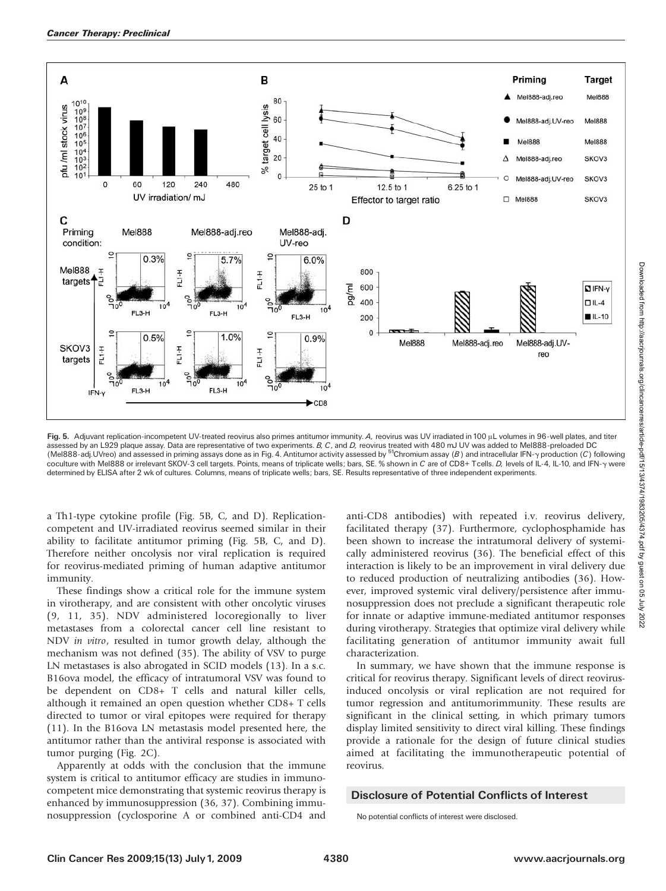

Fig. 5. Adjuvant replication-incompetent UV-treated reovirus also primes antitumor immunity. A, reovirus was UV irradiated in 100 µL volumes in 96-well plates, and titer assessed by an L929 plaque assay. Data are representative of two experiments. B, C, and D, reovirus treated with 480 mJ UV was added to Mel888-preloaded DC (Mel888-adj. UVreo) and assessed in priming assays done as in Fig. 4. Antitumor activity assessed by <sup>51</sup>Chromium assay (B) and intracellular IFN-y production (C) following coculture with Mel888 or irrelevant SKOV-3 cell targets. Points, means of triplicate wells; bars, SE. % shown in C are of CD8+ Tcells. D, levels of IL-4, IL-10, and IFN-y were determined by ELISA after 2 wk of cultures. Columns, means of triplicate wells; bars, SE. Results representative of three independent experiments.

a Th1-type cytokine profile (Fig. 5B, C, and D). Replicationcompetent and UV-irradiated reovirus seemed similar in their ability to facilitate antitumor priming (Fig. 5B, C, and D). Therefore neither oncolysis nor viral replication is required for reovirus-mediated priming of human adaptive antitumor immunity.

These findings show a critical role for the immune system in virotherapy, and are consistent with other oncolytic viruses (9,11,35). NDV administered locoregionally to liver metastases from a colorectal cancer cell line resistant to NDV in vitro, resulted in tumor growth delay, although the mechanism was not defined (35). The ability of VSV to purge LN metastases is also abrogated in SCID models (13). In a s.c. B16ova model, the efficacy of intratumoral VSV was found to be dependent on CD8+ T cells and natural killer cells, although it remained an open question whether CD8+ T cells directed to tumor or viral epitopes were required for therapy  $(11)$ . In the B16ova LN metastasis model presented here, the antitumor rather than the antiviral response is associated with tumor purging (Fig. 2C).

Apparently at odds with the conclusion that the immune system is critical to antitumor efficacy are studies in immunocompetent mice demonstrating that systemic reovirus therapy is enhanced by immunosuppression (36,37). Combining immunosuppression (cyclosporine A or combined anti-CD4 and anti-CD8 antibodies) with repeated i.v. reovirus delivery, facilitated therapy (37). Furthermore, cyclophosphamide has been shown to increase the intratumoral delivery of systemically administered reovirus (36). The beneficial effect of this interaction is likely to be an improvement in viral delivery due to reduced production of neutralizing antibodies (36). However, improved systemic viral delivery/persistence after immunosuppression does not preclude a significant therapeutic role for innate or adaptive immune-mediated antitumor responses during virotherapy. Strategies that optimize viral delivery while facilitating generation of antitumor immunity await full characterization.

In summary, we have shown that the immune response is critical for reovirus therapy. Significant levels of direct reovirusinduced oncolysis or viral replication are not required for tumor regression and antitumorimmunity. These results are significant in the clinical setting, in which primary tumors display limited sensitivity to direct viral killing. These findings provide a rationale for the design of future clinical studies aimed at facilitating the immunotherapeutic potential of reovirus.

## Disclosure of Potential Conflicts of Interest

No potential conflicts of interest were disclosed.